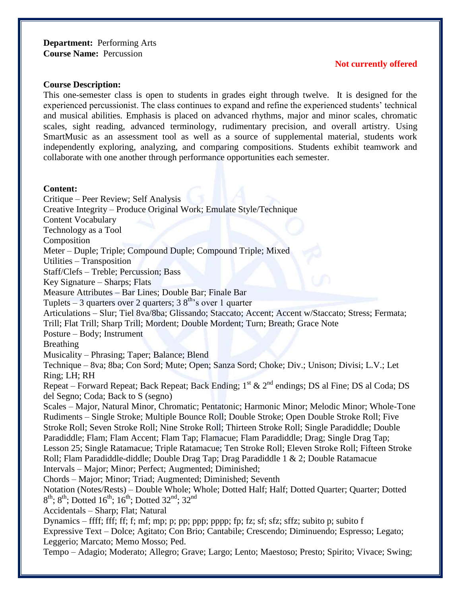**Department:** Performing Arts **Course Name:** Percussion

#### **Not currently offered**

#### **Course Description:**

This one-semester class is open to students in grades eight through twelve. It is designed for the experienced percussionist. The class continues to expand and refine the experienced students' technical and musical abilities. Emphasis is placed on advanced rhythms, major and minor scales, chromatic scales, sight reading, advanced terminology, rudimentary precision, and overall artistry. Using SmartMusic as an assessment tool as well as a source of supplemental material, students work independently exploring, analyzing, and comparing compositions. Students exhibit teamwork and collaborate with one another through performance opportunities each semester.

#### **Content:**

Critique – Peer Review; Self Analysis Creative Integrity – Produce Original Work; Emulate Style/Technique Content Vocabulary Technology as a Tool Composition Meter – Duple; Triple; Compound Duple; Compound Triple; Mixed Utilities – Transposition Staff/Clefs – Treble; Percussion; Bass Key Signature – Sharps; Flats Measure Attributes – Bar Lines; Double Bar; Finale Bar Tuplets – 3 quarters over 2 quarters;  $38<sup>th</sup>$ 's over 1 quarter Articulations – Slur; Tiel 8va/8ba; Glissando; Staccato; Accent; Accent w/Staccato; Stress; Fermata; Trill; Flat Trill; Sharp Trill; Mordent; Double Mordent; Turn; Breath; Grace Note Posture – Body; Instrument Breathing Musicality – Phrasing; Taper; Balance; Blend Technique – 8va; 8ba; Con Sord; Mute; Open; Sanza Sord; Choke; Div.; Unison; Divisi; L.V.; Let Ring; LH; RH Repeat – Forward Repeat; Back Repeat; Back Ending;  $1^{st}$  &  $2^{nd}$  endings; DS al Fine; DS al Coda; DS del Segno; Coda; Back to S (segno) Scales – Major, Natural Minor, Chromatic; Pentatonic; Harmonic Minor; Melodic Minor; Whole-Tone Rudiments – Single Stroke; Multiple Bounce Roll; Double Stroke; Open Double Stroke Roll; Five Stroke Roll; Seven Stroke Roll; Nine Stroke Roll; Thirteen Stroke Roll; Single Paradiddle; Double Paradiddle; Flam; Flam Accent; Flam Tap; Flamacue; Flam Paradiddle; Drag; Single Drag Tap; Lesson 25; Single Ratamacue; Triple Ratamacue; Ten Stroke Roll; Eleven Stroke Roll; Fifteen Stroke Roll; Flam Paradiddle-diddle; Double Drag Tap; Drag Paradiddle 1 & 2; Double Ratamacue Intervals – Major; Minor; Perfect; Augmented; Diminished; Chords – Major; Minor; Triad; Augmented; Diminished; Seventh Notation (Notes/Rests) – Double Whole; Whole; Dotted Half; Half; Dotted Quarter; Quarter; Dotted  $8^{\text{th}}$ ;  $8^{\text{th}}$ ; Dotted  $16^{\text{th}}$ ;  $16^{\text{th}}$ ; Dotted  $32^{\text{nd}}$ ;  $32^{\text{nd}}$ Accidentals – Sharp; Flat; Natural Dynamics – ffff; fff; ff; f; mf; mp; p; pp; ppp; pppp; fp; fz; sf; sfz; sffz; subito p; subito f Expressive Text – Dolce; Agitato; Con Brio; Cantabile; Crescendo; Diminuendo; Espresso; Legato; Leggerio; Marcato; Memo Mosso; Ped. Tempo – Adagio; Moderato; Allegro; Grave; Largo; Lento; Maestoso; Presto; Spirito; Vivace; Swing;